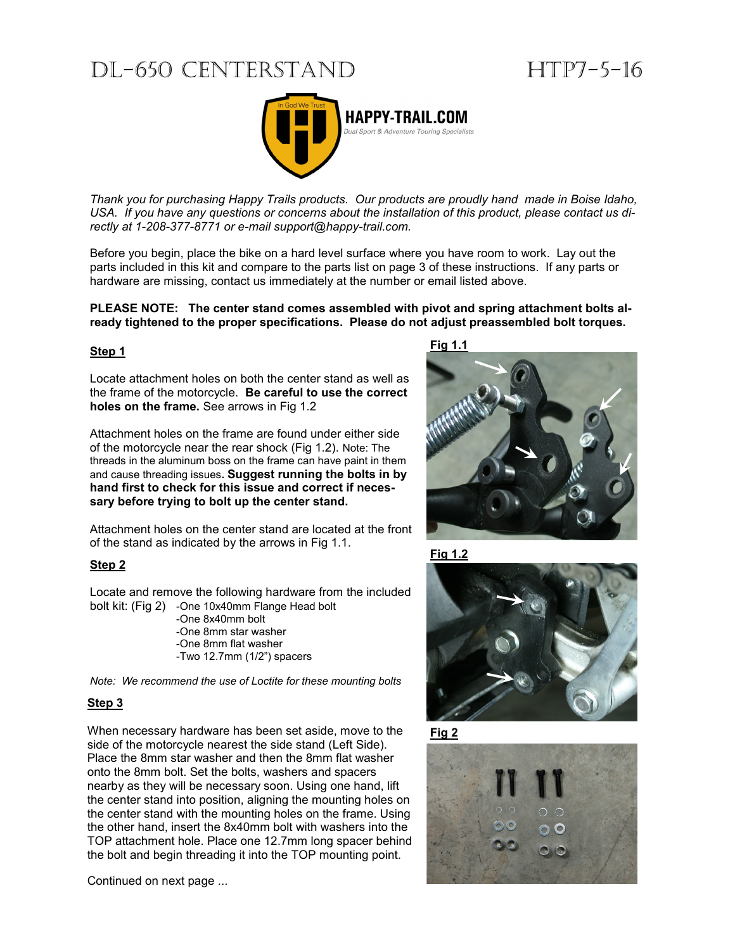# DL-650 CENTERSTAND HTP7-5-16



*Thank you for purchasing Happy Trails products. Our products are proudly hand made in Boise Idaho, USA. If you have any questions or concerns about the installation of this product, please contact us directly at 1-208-377-8771 or e-mail support@happy-trail.com.*

Before you begin, place the bike on a hard level surface where you have room to work. Lay out the parts included in this kit and compare to the parts list on page 3 of these instructions. If any parts or hardware are missing, contact us immediately at the number or email listed above.

**PLEASE NOTE: The center stand comes assembled with pivot and spring attachment bolts already tightened to the proper specifications. Please do not adjust preassembled bolt torques.** 

#### **Step 1**

Locate attachment holes on both the center stand as well as the frame of the motorcycle. **Be careful to use the correct holes on the frame.** See arrows in Fig 1.2

Attachment holes on the frame are found under either side of the motorcycle near the rear shock (Fig 1.2). Note: The threads in the aluminum boss on the frame can have paint in them and cause threading issues**. Suggest running the bolts in by hand first to check for this issue and correct if necessary before trying to bolt up the center stand.**

Attachment holes on the center stand are located at the front of the stand as indicated by the arrows in Fig 1.1.

#### **Step 2**

Locate and remove the following hardware from the included bolt kit: (Fig 2) -One 10x40mm Flange Head bolt

-One 8x40mm bolt -One 8mm star washer -One 8mm flat washer -Two 12.7mm (1/2") spacers

*Note: We recommend the use of Loctite for these mounting bolts*

#### **Step 3**

When necessary hardware has been set aside, move to the side of the motorcycle nearest the side stand (Left Side). Place the 8mm star washer and then the 8mm flat washer onto the 8mm bolt. Set the bolts, washers and spacers nearby as they will be necessary soon. Using one hand, lift the center stand into position, aligning the mounting holes on the center stand with the mounting holes on the frame. Using the other hand, insert the 8x40mm bolt with washers into the TOP attachment hole. Place one 12.7mm long spacer behind the bolt and begin threading it into the TOP mounting point.

Continued on next page ...

**Fig 1.1**









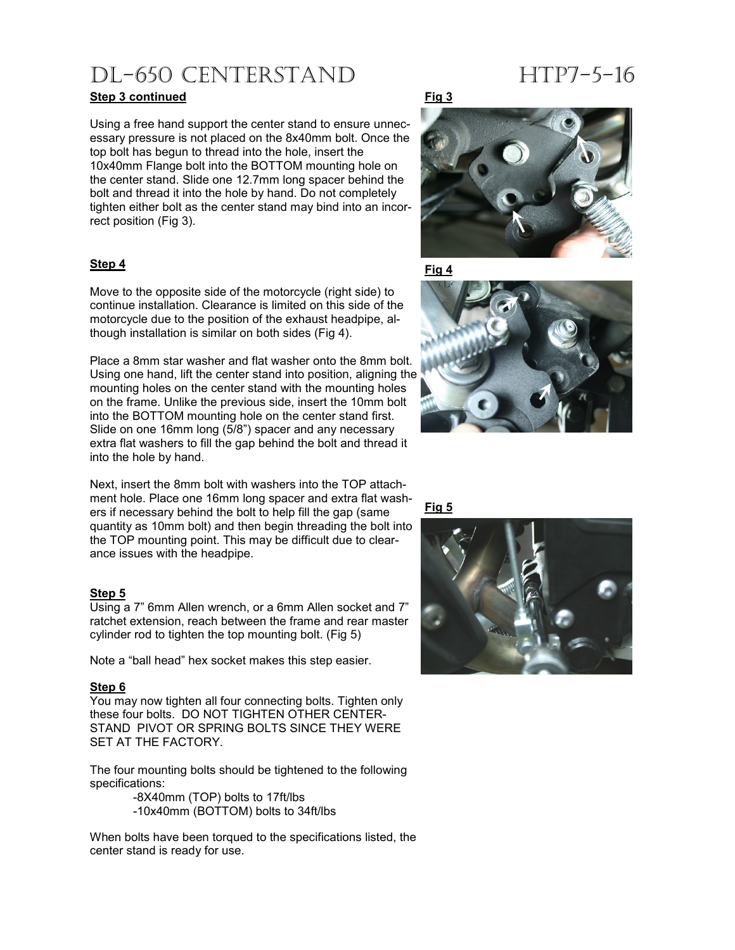# DL-650 CENTERSTAND HTP7-5-16

### **Step 3 continued**

Using a free hand support the center stand to ensure unnecessary pressure is not placed on the 8x40mm bolt. Once the top bolt has begun to thread into the hole, insert the 10x40mm Flange bolt into the BOTTOM mounting hole on the center stand. Slide one 12.7mm long spacer behind the bolt and thread it into the hole by hand. Do not completely tighten either bolt as the center stand may bind into an incorrect position (Fig 3).

### **Step 4**

Move to the opposite side of the motorcycle (right side) to continue installation. Clearance is limited on this side of the motorcycle due to the position of the exhaust headpipe, although installation is similar on both sides (Fig 4).

Place a 8mm star washer and flat washer onto the 8mm bolt. Using one hand, lift the center stand into position, aligning the mounting holes on the center stand with the mounting holes on the frame. Unlike the previous side, insert the 10mm bolt into the BOTTOM mounting hole on the center stand first. Slide on one 16mm long (5/8") spacer and any necessary extra flat washers to fill the gap behind the bolt and thread it into the hole by hand.

Next, insert the 8mm bolt with washers into the TOP attachment hole. Place one 16mm long spacer and extra flat washers if necessary behind the bolt to help fill the gap (same quantity as 10mm bolt) and then begin threading the bolt into the TOP mounting point. This may be difficult due to clearance issues with the headpipe.

#### **Step 5**

Using a 7" 6mm Allen wrench, or a 6mm Allen socket and 7" ratchet extension, reach between the frame and rear master cylinder rod to tighten the top mounting bolt. (Fig 5)

Note a "ball head" hex socket makes this step easier.

#### **Step 6**

You may now tighten all four connecting bolts. Tighten only these four bolts. DO NOT TIGHTEN OTHER CENTER-STAND PIVOT OR SPRING BOLTS SINCE THEY WERE SET AT THE FACTORY.

The four mounting bolts should be tightened to the following specifications:

> -8X40mm (TOP) bolts to 17ft/lbs -10x40mm (BOTTOM) bolts to 34ft/lbs

When bolts have been torqued to the specifications listed, the center stand is ready for use.



**Fig 4**



#### **Fig 5**